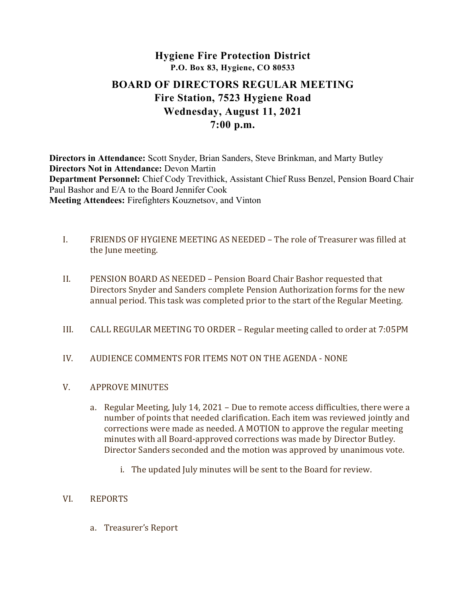# Hygiene Fire Protection District P.O. Box 83, Hygiene, CO 80533 BOARD OF DIRECTORS REGULAR MEETING Fire Station, 7523 Hygiene Road Wednesday, August 11, 2021 7:00 p.m.

Directors in Attendance: Scott Snyder, Brian Sanders, Steve Brinkman, and Marty Butley Directors Not in Attendance: Devon Martin Department Personnel: Chief Cody Trevithick, Assistant Chief Russ Benzel, Pension Board Chair Paul Bashor and E/A to the Board Jennifer Cook Meeting Attendees: Firefighters Kouznetsov, and Vinton

- I. FRIENDS OF HYGIENE MEETING AS NEEDED The role of Treasurer was filled at the June meeting.
- II. PENSION BOARD AS NEEDED Pension Board Chair Bashor requested that Directors Snyder and Sanders complete Pension Authorization forms for the new annual period. This task was completed prior to the start of the Regular Meeting.
- III. CALL REGULAR MEETING TO ORDER Regular meeting called to order at 7:05PM
- IV. AUDIENCE COMMENTS FOR ITEMS NOT ON THE AGENDA NONE
- V. APPROVE MINUTES
	- a. Regular Meeting, July 14, 2021 Due to remote access difficulties, there were a number of points that needed clarification. Each item was reviewed jointly and corrections were made as needed. A MOTION to approve the regular meeting minutes with all Board-approved corrections was made by Director Butley. Director Sanders seconded and the motion was approved by unanimous vote.
		- i. The updated July minutes will be sent to the Board for review.
- VI. REPORTS
	- a. Treasurer's Report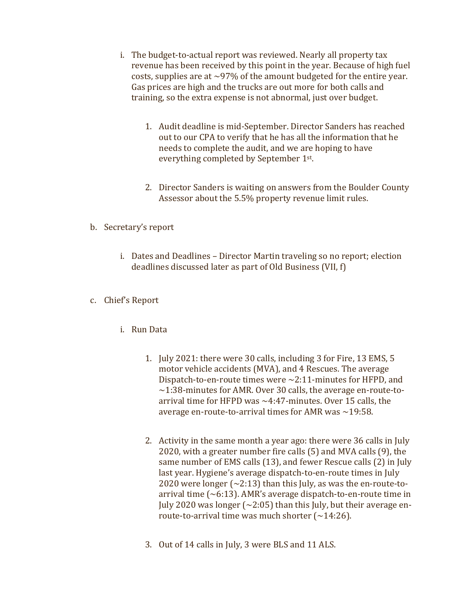- i. The budget-to-actual report was reviewed. Nearly all property tax revenue has been received by this point in the year. Because of high fuel costs, supplies are at  $\sim$ 97% of the amount budgeted for the entire year. Gas prices are high and the trucks are out more for both calls and training, so the extra expense is not abnormal, just over budget.
	- 1. Audit deadline is mid-September. Director Sanders has reached out to our CPA to verify that he has all the information that he needs to complete the audit, and we are hoping to have everything completed by September 1st .
	- 2. Director Sanders is waiting on answers from the Boulder County Assessor about the 5.5% property revenue limit rules.

# b. Secretary's report

i. Dates and Deadlines – Director Martin traveling so no report; election deadlines discussed later as part of Old Business (VII, f)

## c. Chief's Report

- i. Run Data
	- 1. July 2021: there were 30 calls, including 3 for Fire, 13 EMS, 5 motor vehicle accidents (MVA), and 4 Rescues. The average Dispatch-to-en-route times were  $\sim$ 2:11-minutes for HFPD, and  $\sim$ 1:38-minutes for AMR. Over 30 calls, the average en-route-toarrival time for HFPD was  $\sim$ 4:47-minutes. Over 15 calls, the average en-route-to-arrival times for AMR was  $\sim$ 19:58.
	- 2. Activity in the same month a year ago: there were 36 calls in July 2020, with a greater number fire calls (5) and MVA calls (9), the same number of EMS calls (13), and fewer Rescue calls (2) in July last year. Hygiene's average dispatch-to-en-route times in July 2020 were longer  $\left(\frac{2:13}{2}\right)$  than this July, as was the en-route-toarrival time  $({\sim}6:13)$ . AMR's average dispatch-to-en-route time in July 2020 was longer ( $\sim$ 2:05) than this July, but their average enroute-to-arrival time was much shorter  $(\sim 14:26)$ .
	- 3. Out of 14 calls in July, 3 were BLS and 11 ALS.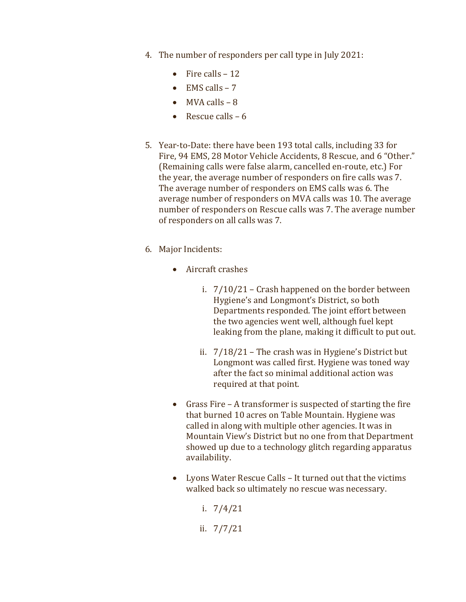- 4. The number of responders per call type in July 2021:
	- Fire calls  $-12$
	- $\bullet$  EMS calls 7
	- $\bullet$  MVA calls 8
	- Rescue calls  $-6$
- 5. Year-to-Date: there have been 193 total calls, including 33 for Fire, 94 EMS, 28 Motor Vehicle Accidents, 8 Rescue, and 6 "Other." (Remaining calls were false alarm, cancelled en-route, etc.) For the year, the average number of responders on fire calls was 7. The average number of responders on EMS calls was 6. The average number of responders on MVA calls was 10. The average number of responders on Rescue calls was 7. The average number of responders on all calls was 7.
- 6. Major Incidents:
	- Aircraft crashes
		- i. 7/10/21 Crash happened on the border between Hygiene's and Longmont's District, so both Departments responded. The joint effort between the two agencies went well, although fuel kept leaking from the plane, making it difficult to put out.
		- ii. 7/18/21 The crash was in Hygiene's District but Longmont was called first. Hygiene was toned way after the fact so minimal additional action was required at that point.
	- Grass Fire A transformer is suspected of starting the fire that burned 10 acres on Table Mountain. Hygiene was called in along with multiple other agencies. It was in Mountain View's District but no one from that Department showed up due to a technology glitch regarding apparatus availability.
	- Lyons Water Rescue Calls It turned out that the victims walked back so ultimately no rescue was necessary.
		- i. 7/4/21
		- ii. 7/7/21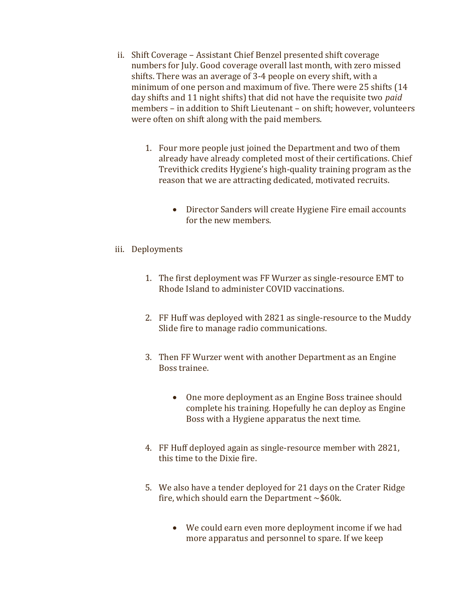- ii. Shift Coverage Assistant Chief Benzel presented shift coverage numbers for July. Good coverage overall last month, with zero missed shifts. There was an average of 3-4 people on every shift, with a minimum of one person and maximum of five. There were 25 shifts (14 day shifts and 11 night shifts) that did not have the requisite two paid members – in addition to Shift Lieutenant – on shift; however, volunteers were often on shift along with the paid members.
	- 1. Four more people just joined the Department and two of them already have already completed most of their certifications. Chief Trevithick credits Hygiene's high-quality training program as the reason that we are attracting dedicated, motivated recruits.
		- Director Sanders will create Hygiene Fire email accounts for the new members.
- iii. Deployments
	- 1. The first deployment was FF Wurzer as single-resource EMT to Rhode Island to administer COVID vaccinations.
	- 2. FF Huff was deployed with 2821 as single-resource to the Muddy Slide fire to manage radio communications.
	- 3. Then FF Wurzer went with another Department as an Engine Boss trainee.
		- One more deployment as an Engine Boss trainee should complete his training. Hopefully he can deploy as Engine Boss with a Hygiene apparatus the next time.
	- 4. FF Huff deployed again as single-resource member with 2821, this time to the Dixie fire.
	- 5. We also have a tender deployed for 21 days on the Crater Ridge fire, which should earn the Department  $\sim$ \$60k.
		- We could earn even more deployment income if we had more apparatus and personnel to spare. If we keep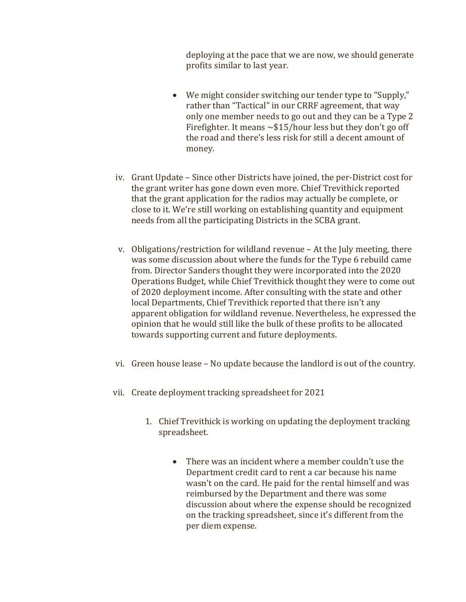deploying at the pace that we are now, we should generate profits similar to last year.

- We might consider switching our tender type to "Supply," rather than "Tactical" in our CRRF agreement, that way only one member needs to go out and they can be a Type 2 Firefighter. It means  $\sim$ \$15/hour less but they don't go off the road and there's less risk for still a decent amount of money.
- iv. Grant Update Since other Districts have joined, the per-District cost for the grant writer has gone down even more. Chief Trevithick reported that the grant application for the radios may actually be complete, or close to it. We're still working on establishing quantity and equipment needs from all the participating Districts in the SCBA grant.
- v. Obligations/restriction for wildland revenue At the July meeting, there was some discussion about where the funds for the Type 6 rebuild came from. Director Sanders thought they were incorporated into the 2020 Operations Budget, while Chief Trevithick thought they were to come out of 2020 deployment income. After consulting with the state and other local Departments, Chief Trevithick reported that there isn't any apparent obligation for wildland revenue. Nevertheless, he expressed the opinion that he would still like the bulk of these profits to be allocated towards supporting current and future deployments.
- vi. Green house lease No update because the landlord is out of the country.
- vii. Create deployment tracking spreadsheet for 2021
	- 1. Chief Trevithick is working on updating the deployment tracking spreadsheet.
		- There was an incident where a member couldn't use the Department credit card to rent a car because his name wasn't on the card. He paid for the rental himself and was reimbursed by the Department and there was some discussion about where the expense should be recognized on the tracking spreadsheet, since it's different from the per diem expense.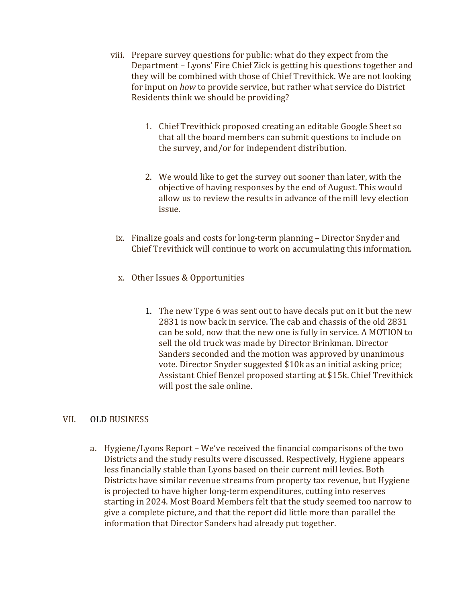- viii. Prepare survey questions for public: what do they expect from the Department – Lyons' Fire Chief Zick is getting his questions together and they will be combined with those of Chief Trevithick. We are not looking for input on how to provide service, but rather what service do District Residents think we should be providing?
	- 1. Chief Trevithick proposed creating an editable Google Sheet so that all the board members can submit questions to include on the survey, and/or for independent distribution.
	- 2. We would like to get the survey out sooner than later, with the objective of having responses by the end of August. This would allow us to review the results in advance of the mill levy election issue.
	- ix. Finalize goals and costs for long-term planning Director Snyder and Chief Trevithick will continue to work on accumulating this information.
	- x. Other Issues & Opportunities
		- 1. The new Type 6 was sent out to have decals put on it but the new 2831 is now back in service. The cab and chassis of the old 2831 can be sold, now that the new one is fully in service. A MOTION to sell the old truck was made by Director Brinkman. Director Sanders seconded and the motion was approved by unanimous vote. Director Snyder suggested \$10k as an initial asking price; Assistant Chief Benzel proposed starting at \$15k. Chief Trevithick will post the sale online.

# VII. OLD BUSINESS

a. Hygiene/Lyons Report – We've received the financial comparisons of the two Districts and the study results were discussed. Respectively, Hygiene appears less financially stable than Lyons based on their current mill levies. Both Districts have similar revenue streams from property tax revenue, but Hygiene is projected to have higher long-term expenditures, cutting into reserves starting in 2024. Most Board Members felt that the study seemed too narrow to give a complete picture, and that the report did little more than parallel the information that Director Sanders had already put together.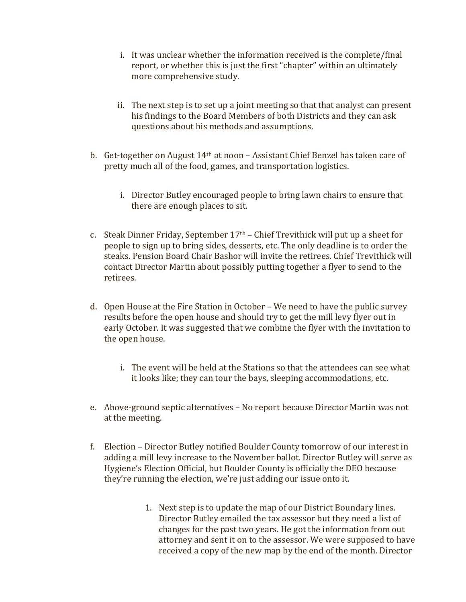- i. It was unclear whether the information received is the complete/final report, or whether this is just the first "chapter" within an ultimately more comprehensive study.
- ii. The next step is to set up a joint meeting so that that analyst can present his findings to the Board Members of both Districts and they can ask questions about his methods and assumptions.
- b. Get-together on August 14th at noon Assistant Chief Benzel has taken care of pretty much all of the food, games, and transportation logistics.
	- i. Director Butley encouraged people to bring lawn chairs to ensure that there are enough places to sit.
- c. Steak Dinner Friday, September  $17<sup>th</sup>$  Chief Trevithick will put up a sheet for people to sign up to bring sides, desserts, etc. The only deadline is to order the steaks. Pension Board Chair Bashor will invite the retirees. Chief Trevithick will contact Director Martin about possibly putting together a flyer to send to the retirees.
- d. Open House at the Fire Station in October We need to have the public survey results before the open house and should try to get the mill levy flyer out in early October. It was suggested that we combine the flyer with the invitation to the open house.
	- i. The event will be held at the Stations so that the attendees can see what it looks like; they can tour the bays, sleeping accommodations, etc.
- e. Above-ground septic alternatives No report because Director Martin was not at the meeting.
- f. Election Director Butley notified Boulder County tomorrow of our interest in adding a mill levy increase to the November ballot. Director Butley will serve as Hygiene's Election Official, but Boulder County is officially the DEO because they're running the election, we're just adding our issue onto it.
	- 1. Next step is to update the map of our District Boundary lines. Director Butley emailed the tax assessor but they need a list of changes for the past two years. He got the information from out attorney and sent it on to the assessor. We were supposed to have received a copy of the new map by the end of the month. Director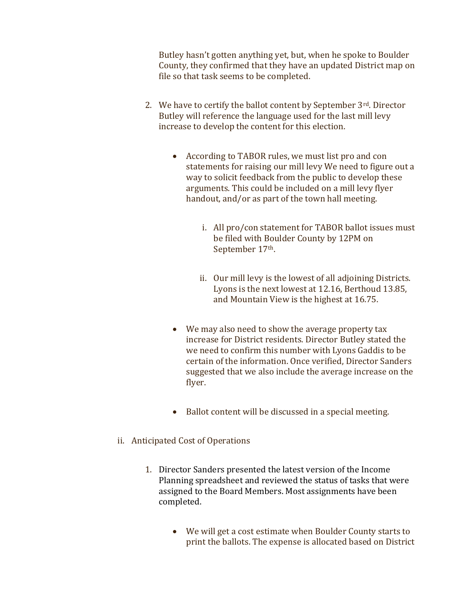Butley hasn't gotten anything yet, but, when he spoke to Boulder County, they confirmed that they have an updated District map on file so that task seems to be completed.

- 2. We have to certify the ballot content by September 3rd. Director Butley will reference the language used for the last mill levy increase to develop the content for this election.
	- According to TABOR rules, we must list pro and con statements for raising our mill levy We need to figure out a way to solicit feedback from the public to develop these arguments. This could be included on a mill levy flyer handout, and/or as part of the town hall meeting.
		- i. All pro/con statement for TABOR ballot issues must be filed with Boulder County by 12PM on September 17<sup>th</sup>.
		- ii. Our mill levy is the lowest of all adjoining Districts. Lyons is the next lowest at 12.16, Berthoud 13.85, and Mountain View is the highest at 16.75.
	- We may also need to show the average property tax increase for District residents. Director Butley stated the we need to confirm this number with Lyons Gaddis to be certain of the information. Once verified, Director Sanders suggested that we also include the average increase on the flyer.
	- Ballot content will be discussed in a special meeting.
- ii. Anticipated Cost of Operations
	- 1. Director Sanders presented the latest version of the Income Planning spreadsheet and reviewed the status of tasks that were assigned to the Board Members. Most assignments have been completed.
		- We will get a cost estimate when Boulder County starts to print the ballots. The expense is allocated based on District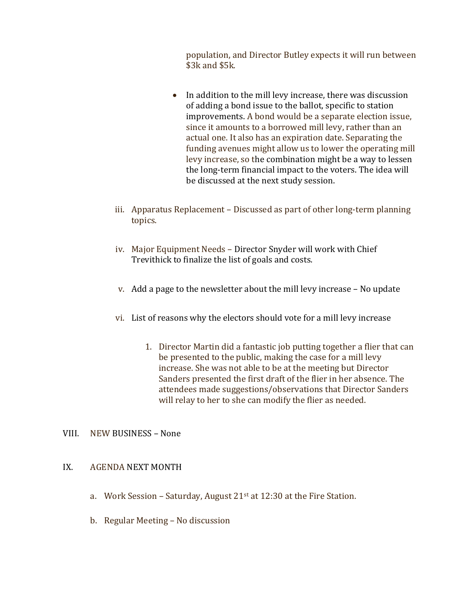population, and Director Butley expects it will run between \$3k and \$5k.

- In addition to the mill levy increase, there was discussion of adding a bond issue to the ballot, specific to station improvements. A bond would be a separate election issue, since it amounts to a borrowed mill levy, rather than an actual one. It also has an expiration date. Separating the funding avenues might allow us to lower the operating mill levy increase, so the combination might be a way to lessen the long-term financial impact to the voters. The idea will be discussed at the next study session.
- iii. Apparatus Replacement Discussed as part of other long-term planning topics.
- iv. Major Equipment Needs Director Snyder will work with Chief Trevithick to finalize the list of goals and costs.
- v. Add a page to the newsletter about the mill levy increase No update
- vi. List of reasons why the electors should vote for a mill levy increase
	- 1. Director Martin did a fantastic job putting together a flier that can be presented to the public, making the case for a mill levy increase. She was not able to be at the meeting but Director Sanders presented the first draft of the flier in her absence. The attendees made suggestions/observations that Director Sanders will relay to her to she can modify the flier as needed.

# VIII. NEW BUSINESS – None

### IX. AGENDA NEXT MONTH

- a. Work Session Saturday, August  $21<sup>st</sup>$  at  $12:30$  at the Fire Station.
- b. Regular Meeting No discussion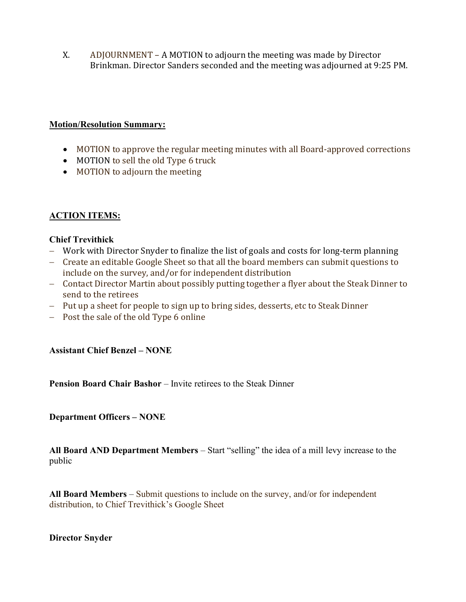X. ADJOURNMENT – A MOTION to adjourn the meeting was made by Director Brinkman. Director Sanders seconded and the meeting was adjourned at 9:25 PM.

## Motion/Resolution Summary:

- MOTION to approve the regular meeting minutes with all Board-approved corrections
- MOTION to sell the old Type 6 truck
- MOTION to adjourn the meeting

# ACTION ITEMS:

## Chief Trevithick

- Work with Director Snyder to finalize the list of goals and costs for long-term planning
- Create an editable Google Sheet so that all the board members can submit questions to include on the survey, and/or for independent distribution
- Contact Director Martin about possibly putting together a flyer about the Steak Dinner to send to the retirees
- Put up a sheet for people to sign up to bring sides, desserts, etc to Steak Dinner
- Post the sale of the old Type 6 online

### Assistant Chief Benzel – NONE

Pension Board Chair Bashor – Invite retirees to the Steak Dinner

Department Officers – NONE

All Board AND Department Members – Start "selling" the idea of a mill levy increase to the public

All Board Members – Submit questions to include on the survey, and/or for independent distribution, to Chief Trevithick's Google Sheet

### Director Snyder